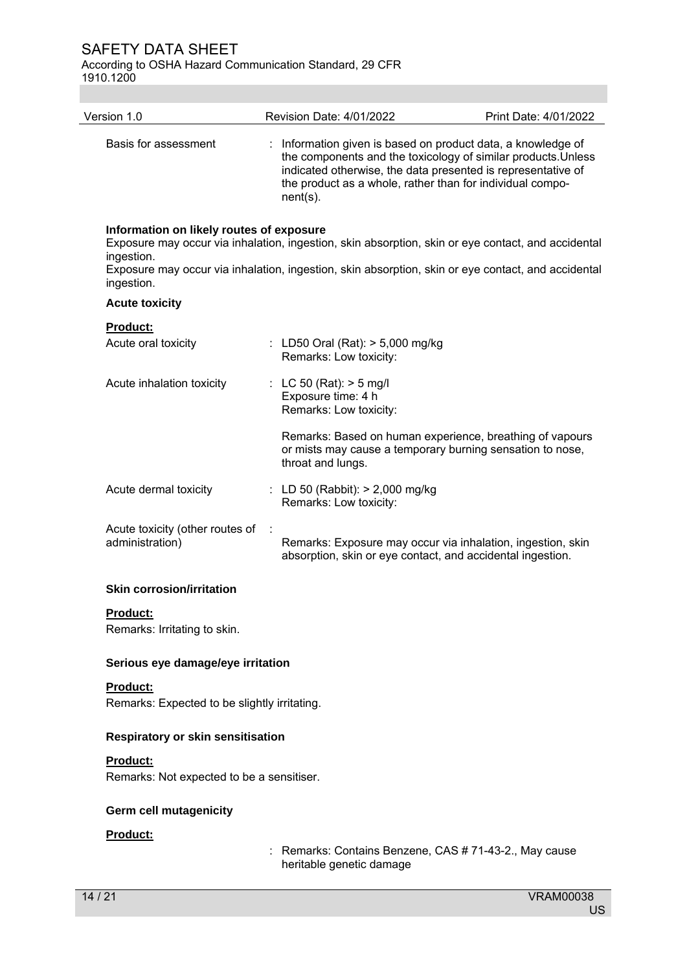According to OSHA Hazard Communication Standard, 29 CFR 1910.1200

| Version 1.0                                                          | Revision Date: 4/01/2022                                                                                                              | Print Date: 4/01/2022                                                                                                                                                                                    |
|----------------------------------------------------------------------|---------------------------------------------------------------------------------------------------------------------------------------|----------------------------------------------------------------------------------------------------------------------------------------------------------------------------------------------------------|
| Basis for assessment                                                 | : Information given is based on product data, a knowledge of<br>the product as a whole, rather than for individual compo-<br>nent(s). | the components and the toxicology of similar products. Unless<br>indicated otherwise, the data presented is representative of                                                                            |
| Information on likely routes of exposure<br>ingestion.<br>ingestion. |                                                                                                                                       | Exposure may occur via inhalation, ingestion, skin absorption, skin or eye contact, and accidental<br>Exposure may occur via inhalation, ingestion, skin absorption, skin or eye contact, and accidental |
| <b>Acute toxicity</b>                                                |                                                                                                                                       |                                                                                                                                                                                                          |
| Product:<br>Acute oral toxicity                                      | : LD50 Oral (Rat): $> 5,000$ mg/kg<br>Remarks: Low toxicity:                                                                          |                                                                                                                                                                                                          |
| Acute inhalation toxicity                                            | : LC 50 (Rat): $>$ 5 mg/l<br>Exposure time: 4 h<br>Remarks: Low toxicity:                                                             |                                                                                                                                                                                                          |
|                                                                      | throat and lungs.                                                                                                                     | Remarks: Based on human experience, breathing of vapours<br>or mists may cause a temporary burning sensation to nose,                                                                                    |
| Acute dermal toxicity                                                | : LD 50 (Rabbit): $> 2,000$ mg/kg<br>Remarks: Low toxicity:                                                                           |                                                                                                                                                                                                          |
| Acute toxicity (other routes of<br>administration)                   | absorption, skin or eye contact, and accidental ingestion.                                                                            | Remarks: Exposure may occur via inhalation, ingestion, skin                                                                                                                                              |
| <b>Skin corrosion/irritation</b>                                     |                                                                                                                                       |                                                                                                                                                                                                          |
| Product:<br>Remarks: Irritating to skin.                             |                                                                                                                                       |                                                                                                                                                                                                          |
| Serious eye damage/eye irritation                                    |                                                                                                                                       |                                                                                                                                                                                                          |
| <b>Product:</b>                                                      |                                                                                                                                       |                                                                                                                                                                                                          |
| Remarks: Expected to be slightly irritating.                         |                                                                                                                                       |                                                                                                                                                                                                          |
| <b>Respiratory or skin sensitisation</b>                             |                                                                                                                                       |                                                                                                                                                                                                          |
| <b>Product:</b>                                                      |                                                                                                                                       |                                                                                                                                                                                                          |
| Remarks: Not expected to be a sensitiser.                            |                                                                                                                                       |                                                                                                                                                                                                          |
| <b>Germ cell mutagenicity</b>                                        |                                                                                                                                       |                                                                                                                                                                                                          |

# **Product:**

: Remarks: Contains Benzene, CAS # 71-43-2., May cause heritable genetic damage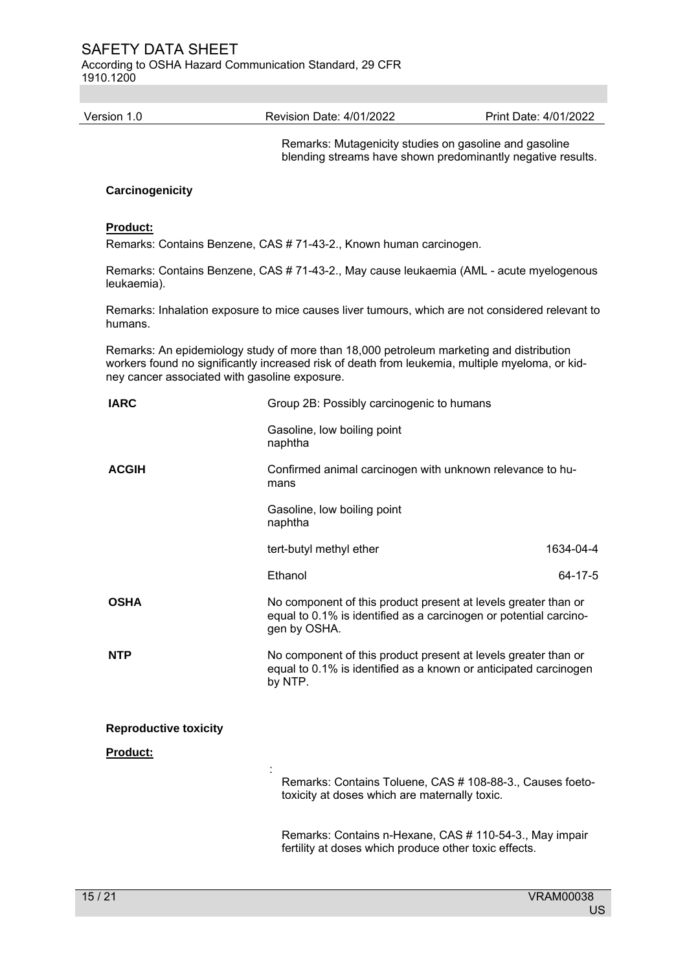According to OSHA Hazard Communication Standard, 29 CFR 1910.1200

Version 1.0 Revision Date: 4/01/2022 Print Date: 4/01/2022

Remarks: Mutagenicity studies on gasoline and gasoline blending streams have shown predominantly negative results.

### **Carcinogenicity**

#### **Product:**

Remarks: Contains Benzene, CAS # 71-43-2., Known human carcinogen.

Remarks: Contains Benzene, CAS # 71-43-2., May cause leukaemia (AML - acute myelogenous leukaemia).

Remarks: Inhalation exposure to mice causes liver tumours, which are not considered relevant to humans.

Remarks: An epidemiology study of more than 18,000 petroleum marketing and distribution workers found no significantly increased risk of death from leukemia, multiple myeloma, or kidney cancer associated with gasoline exposure.

| <b>IARC</b>                  | Group 2B: Possibly carcinogenic to humans                                                                                                           |               |
|------------------------------|-----------------------------------------------------------------------------------------------------------------------------------------------------|---------------|
|                              | Gasoline, low boiling point<br>naphtha                                                                                                              |               |
| <b>ACGIH</b>                 | Confirmed animal carcinogen with unknown relevance to hu-<br>mans                                                                                   |               |
|                              | Gasoline, low boiling point<br>naphtha                                                                                                              |               |
|                              | tert-butyl methyl ether                                                                                                                             | 1634-04-4     |
|                              | Ethanol                                                                                                                                             | $64 - 17 - 5$ |
| <b>OSHA</b>                  | No component of this product present at levels greater than or<br>equal to 0.1% is identified as a carcinogen or potential carcino-<br>gen by OSHA. |               |
| <b>NTP</b>                   | No component of this product present at levels greater than or<br>equal to 0.1% is identified as a known or anticipated carcinogen<br>by NTP.       |               |
| <b>Reproductive toxicity</b> |                                                                                                                                                     |               |
| <b>Product:</b>              |                                                                                                                                                     |               |
|                              | Remarks: Contains Toluene, CAS # 108-88-3., Causes foeto-<br>toxicity at doses which are maternally toxic.                                          |               |
|                              | Remarks: Contains n-Hexane, CAS # 110-54-3., May impair<br>fertility at doses which produce other toxic effects.                                    |               |
|                              |                                                                                                                                                     |               |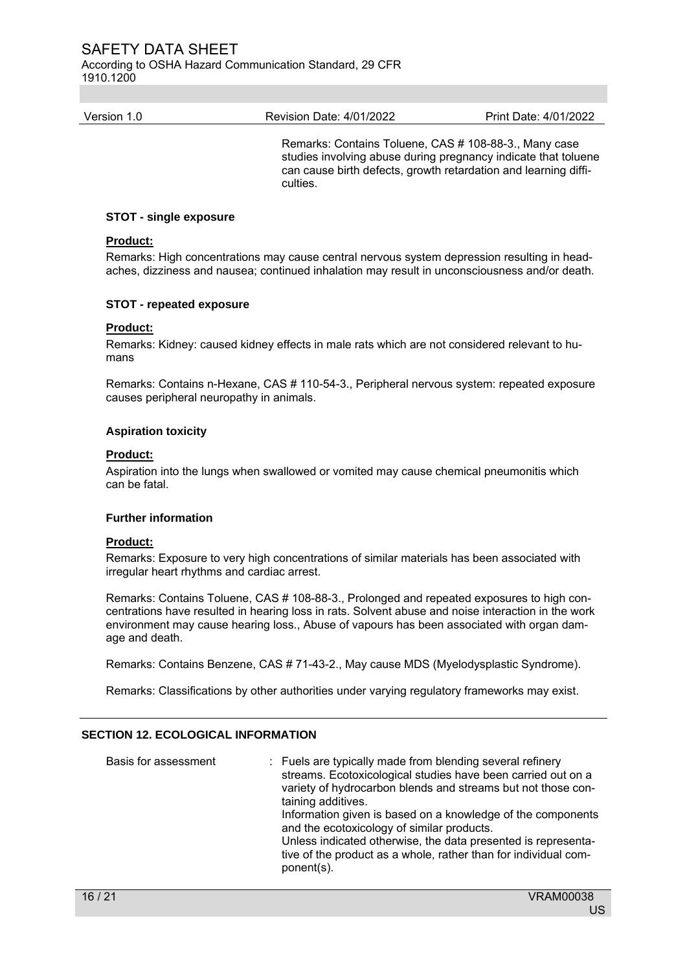According to OSHA Hazard Communication Standard, 29 CFR 1910.1200

| Version 1.0 | Revision Date: 4/01/2022 | Print Date: 4/01/2022 |
|-------------|--------------------------|-----------------------|
|             |                          |                       |

Remarks: Contains Toluene, CAS # 108-88-3., Many case studies involving abuse during pregnancy indicate that toluene can cause birth defects, growth retardation and learning difficulties.

### **STOT - single exposure**

## **Product:**

Remarks: High concentrations may cause central nervous system depression resulting in headaches, dizziness and nausea; continued inhalation may result in unconsciousness and/or death.

#### **STOT - repeated exposure**

### **Product:**

Remarks: Kidney: caused kidney effects in male rats which are not considered relevant to humans

Remarks: Contains n-Hexane, CAS # 110-54-3., Peripheral nervous system: repeated exposure causes peripheral neuropathy in animals.

#### **Aspiration toxicity**

#### **Product:**

Aspiration into the lungs when swallowed or vomited may cause chemical pneumonitis which can be fatal.

#### **Further information**

## **Product:**

Remarks: Exposure to very high concentrations of similar materials has been associated with irregular heart rhythms and cardiac arrest.

Remarks: Contains Toluene, CAS # 108-88-3., Prolonged and repeated exposures to high concentrations have resulted in hearing loss in rats. Solvent abuse and noise interaction in the work environment may cause hearing loss., Abuse of vapours has been associated with organ damage and death.

Remarks: Contains Benzene, CAS # 71-43-2., May cause MDS (Myelodysplastic Syndrome).

Remarks: Classifications by other authorities under varying regulatory frameworks may exist.

### **SECTION 12. ECOLOGICAL INFORMATION**

| Basis for assessment | : Fuels are typically made from blending several refinery<br>streams. Ecotoxicological studies have been carried out on a<br>variety of hydrocarbon blends and streams but not those con-<br>taining additives.<br>Information given is based on a knowledge of the components<br>and the ecotoxicology of similar products.<br>Unless indicated otherwise, the data presented is representa-<br>tive of the product as a whole, rather than for individual com-<br>ponent(s). |
|----------------------|--------------------------------------------------------------------------------------------------------------------------------------------------------------------------------------------------------------------------------------------------------------------------------------------------------------------------------------------------------------------------------------------------------------------------------------------------------------------------------|
|----------------------|--------------------------------------------------------------------------------------------------------------------------------------------------------------------------------------------------------------------------------------------------------------------------------------------------------------------------------------------------------------------------------------------------------------------------------------------------------------------------------|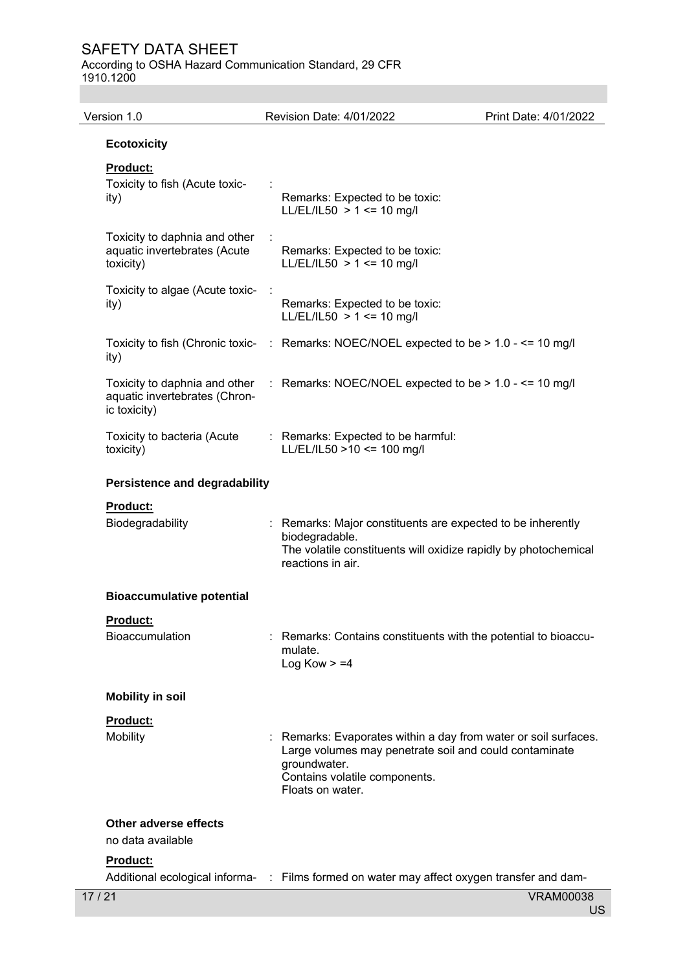According to OSHA Hazard Communication Standard, 29 CFR 1910.1200

| Version 1.0                                                                    | Revision Date: 4/01/2022                                                                                                                                                                     | Print Date: 4/01/2022 |
|--------------------------------------------------------------------------------|----------------------------------------------------------------------------------------------------------------------------------------------------------------------------------------------|-----------------------|
| <b>Ecotoxicity</b>                                                             |                                                                                                                                                                                              |                       |
| <b>Product:</b><br>Toxicity to fish (Acute toxic-                              |                                                                                                                                                                                              |                       |
| ity)                                                                           | Remarks: Expected to be toxic:<br>LL/EL/IL50 > 1 <= 10 mg/l                                                                                                                                  |                       |
| Toxicity to daphnia and other<br>aquatic invertebrates (Acute<br>toxicity)     | Remarks: Expected to be toxic:<br>$LL/EL/IL50 > 1 \le 10$ mg/l                                                                                                                               |                       |
| Toxicity to algae (Acute toxic-<br>ity)                                        | Remarks: Expected to be toxic:<br>LL/EL/IL50 > 1 <= 10 mg/l                                                                                                                                  |                       |
| ity)                                                                           | Toxicity to fish (Chronic toxic- : Remarks: NOEC/NOEL expected to be > 1.0 - <= 10 mg/l                                                                                                      |                       |
| Toxicity to daphnia and other<br>aquatic invertebrates (Chron-<br>ic toxicity) | : Remarks: NOEC/NOEL expected to be $> 1.0 - \le$ 10 mg/l                                                                                                                                    |                       |
| Toxicity to bacteria (Acute<br>toxicity)                                       | : Remarks: Expected to be harmful:<br>LL/EL/IL50 >10 <= 100 mg/l                                                                                                                             |                       |
| <b>Persistence and degradability</b>                                           |                                                                                                                                                                                              |                       |
| <b>Product:</b>                                                                |                                                                                                                                                                                              |                       |
| Biodegradability                                                               | : Remarks: Major constituents are expected to be inherently<br>biodegradable.<br>The volatile constituents will oxidize rapidly by photochemical<br>reactions in air.                        |                       |
| <b>Bioaccumulative potential</b>                                               |                                                                                                                                                                                              |                       |
| Product:<br><b>Bioaccumulation</b>                                             | Remarks: Contains constituents with the potential to bioaccu-<br>mulate.<br>Log Kow $> = 4$                                                                                                  |                       |
| <b>Mobility in soil</b>                                                        |                                                                                                                                                                                              |                       |
| Product:<br>Mobility                                                           | Remarks: Evaporates within a day from water or soil surfaces.<br>Large volumes may penetrate soil and could contaminate<br>groundwater.<br>Contains volatile components.<br>Floats on water. |                       |
| Other adverse effects<br>no data available                                     |                                                                                                                                                                                              |                       |
| <b>Product:</b>                                                                |                                                                                                                                                                                              |                       |
| 17/21                                                                          | Additional ecological informa- : Films formed on water may affect oxygen transfer and dam-                                                                                                   | <b>VRAM00038</b>      |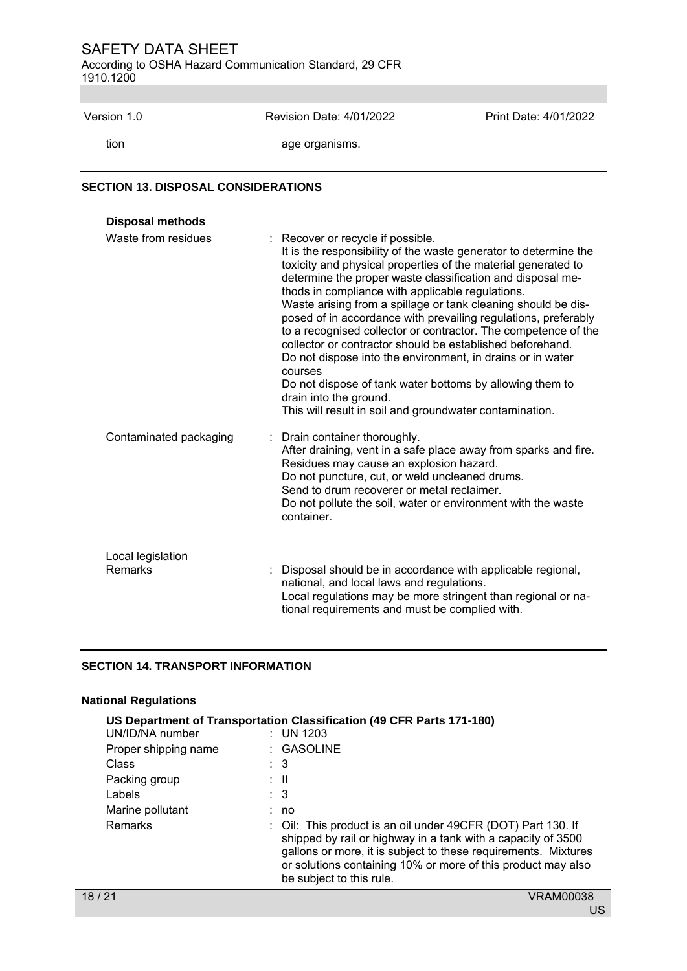According to OSHA Hazard Communication Standard, 29 CFR 1910.1200

| Version 1.0 | Revision Date: 4/01/2022 | Print Date: 4/01/2022 |
|-------------|--------------------------|-----------------------|
| tion        | age organisms.           |                       |

## **SECTION 13. DISPOSAL CONSIDERATIONS**

| <b>Disposal methods</b>      |                                                                                                                                                                                                                                                                                                                                                                                                                                                                                                                                                                                                                                                                                                                                                                                      |
|------------------------------|--------------------------------------------------------------------------------------------------------------------------------------------------------------------------------------------------------------------------------------------------------------------------------------------------------------------------------------------------------------------------------------------------------------------------------------------------------------------------------------------------------------------------------------------------------------------------------------------------------------------------------------------------------------------------------------------------------------------------------------------------------------------------------------|
| Waste from residues          | : Recover or recycle if possible.<br>It is the responsibility of the waste generator to determine the<br>toxicity and physical properties of the material generated to<br>determine the proper waste classification and disposal me-<br>thods in compliance with applicable regulations.<br>Waste arising from a spillage or tank cleaning should be dis-<br>posed of in accordance with prevailing regulations, preferably<br>to a recognised collector or contractor. The competence of the<br>collector or contractor should be established beforehand.<br>Do not dispose into the environment, in drains or in water<br>courses<br>Do not dispose of tank water bottoms by allowing them to<br>drain into the ground.<br>This will result in soil and groundwater contamination. |
| Contaminated packaging       | : Drain container thoroughly.<br>After draining, vent in a safe place away from sparks and fire.<br>Residues may cause an explosion hazard.<br>Do not puncture, cut, or weld uncleaned drums.<br>Send to drum recoverer or metal reclaimer.<br>Do not pollute the soil, water or environment with the waste<br>container.                                                                                                                                                                                                                                                                                                                                                                                                                                                            |
| Local legislation<br>Remarks | : Disposal should be in accordance with applicable regional,<br>national, and local laws and regulations.<br>Local regulations may be more stringent than regional or na-<br>tional requirements and must be complied with.                                                                                                                                                                                                                                                                                                                                                                                                                                                                                                                                                          |

## **SECTION 14. TRANSPORT INFORMATION**

## **National Regulations**

| US Department of Transportation Classification (49 CFR Parts 171-180)<br>UN/ID/NA number<br>$:$ UN 1203 |  |                                                                                                                                                                                                                                                                                            |  |  |
|---------------------------------------------------------------------------------------------------------|--|--------------------------------------------------------------------------------------------------------------------------------------------------------------------------------------------------------------------------------------------------------------------------------------------|--|--|
| Proper shipping name                                                                                    |  | $\therefore$ GASOLINE                                                                                                                                                                                                                                                                      |  |  |
| Class                                                                                                   |  | $\therefore$ 3                                                                                                                                                                                                                                                                             |  |  |
| Packing group                                                                                           |  | : II                                                                                                                                                                                                                                                                                       |  |  |
| Labels                                                                                                  |  | : 3                                                                                                                                                                                                                                                                                        |  |  |
| Marine pollutant                                                                                        |  | : no                                                                                                                                                                                                                                                                                       |  |  |
| <b>Remarks</b>                                                                                          |  | : Oil: This product is an oil under 49CFR (DOT) Part 130. If<br>shipped by rail or highway in a tank with a capacity of 3500<br>gallons or more, it is subject to these requirements. Mixtures<br>or solutions containing 10% or more of this product may also<br>be subject to this rule. |  |  |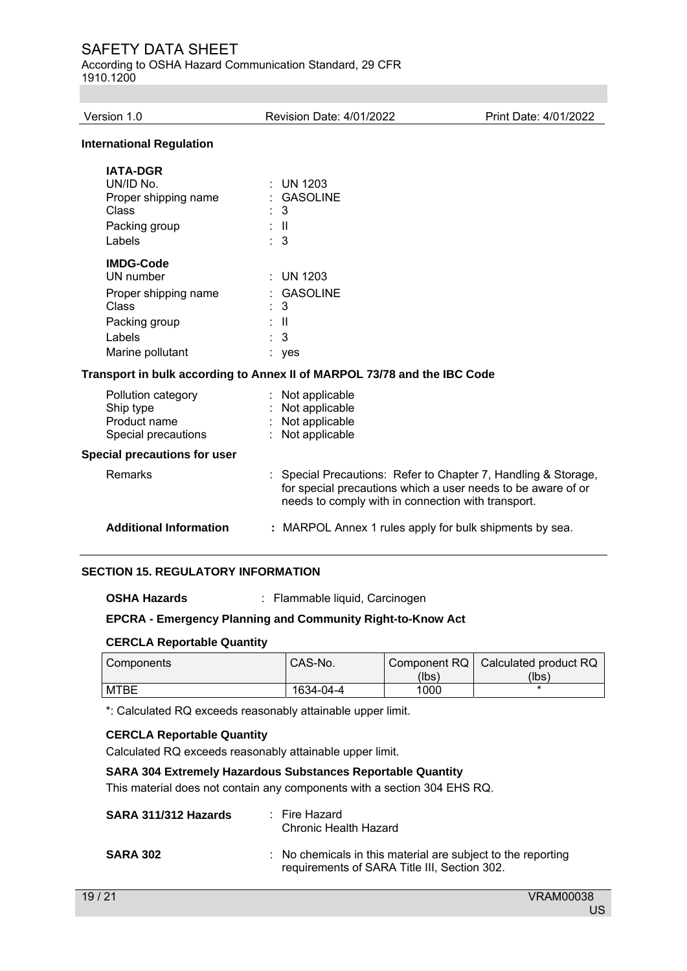According to OSHA Hazard Communication Standard, 29 CFR 1910.1200

| Version 1.0                                                                                                  | <b>Revision Date: 4/01/2022</b>                                                                                                                                                    | Print Date: 4/01/2022 |
|--------------------------------------------------------------------------------------------------------------|------------------------------------------------------------------------------------------------------------------------------------------------------------------------------------|-----------------------|
| <b>International Regulation</b>                                                                              |                                                                                                                                                                                    |                       |
| <b>IATA-DGR</b><br>UN/ID No.<br>Proper shipping name<br>Class<br>Packing group<br>Labels<br><b>IMDG-Code</b> | <b>UN 1203</b><br><b>GASOLINE</b><br>3<br>÷Ш<br>3                                                                                                                                  |                       |
| UN number<br>Proper shipping name<br>Class<br>Packing group<br>Labels<br>Marine pollutant                    | <b>UN 1203</b><br>÷<br><b>GASOLINE</b><br>3<br>$\mathbf{I}$<br>3<br>yes                                                                                                            |                       |
|                                                                                                              | Transport in bulk according to Annex II of MARPOL 73/78 and the IBC Code                                                                                                           |                       |
| Pollution category<br>Ship type<br>Product name<br>Special precautions                                       | Not applicable<br>Not applicable<br>Not applicable<br>Not applicable                                                                                                               |                       |
| Special precautions for user                                                                                 |                                                                                                                                                                                    |                       |
| Remarks                                                                                                      | Special Precautions: Refer to Chapter 7, Handling & Storage,<br>for special precautions which a user needs to be aware of or<br>needs to comply with in connection with transport. |                       |
| <b>Additional Information</b>                                                                                | : MARPOL Annex 1 rules apply for bulk shipments by sea.                                                                                                                            |                       |

## **SECTION 15. REGULATORY INFORMATION**

**OSHA Hazards** : Flammable liquid, Carcinogen

### **EPCRA - Emergency Planning and Community Right-to-Know Act**

### **CERCLA Reportable Quantity**

| Components | CAS-No.   |       | Component RQ   Calculated product RQ |
|------------|-----------|-------|--------------------------------------|
|            |           | (lbs) | (Ibs)                                |
| MTBE       | 1634-04-4 | 1000  |                                      |

\*: Calculated RQ exceeds reasonably attainable upper limit.

### **CERCLA Reportable Quantity**

Calculated RQ exceeds reasonably attainable upper limit.

## **SARA 304 Extremely Hazardous Substances Reportable Quantity**

This material does not contain any components with a section 304 EHS RQ.

| SARA 311/312 Hazards | : Fire Hazard<br>Chronic Health Hazard                                                                                  |
|----------------------|-------------------------------------------------------------------------------------------------------------------------|
| <b>SARA 302</b>      | $\therefore$ No chemicals in this material are subject to the reporting<br>requirements of SARA Title III, Section 302. |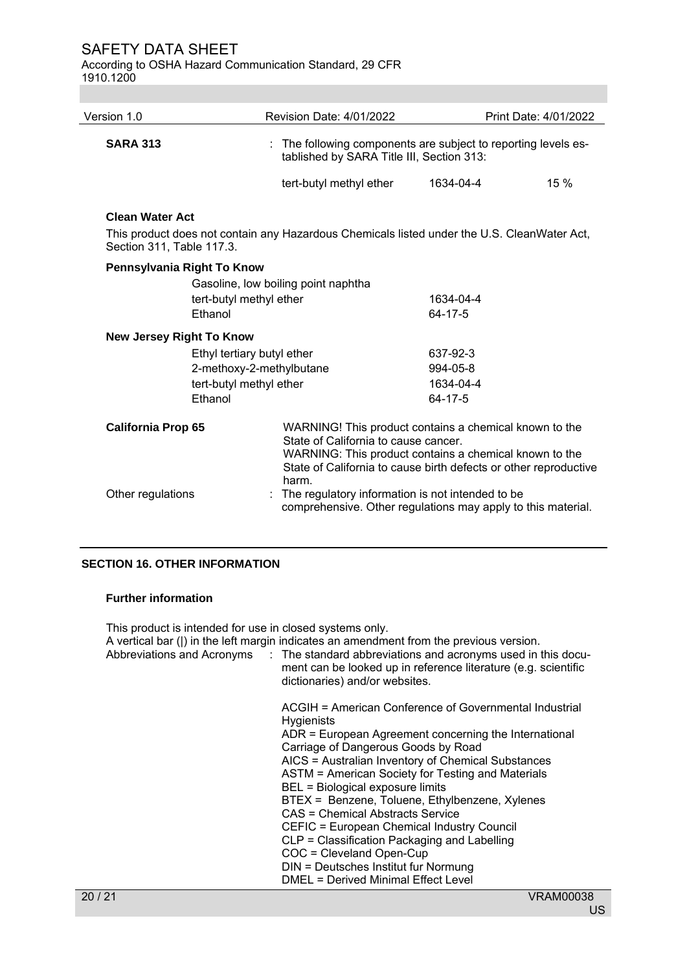According to OSHA Hazard Communication Standard, 29 CFR 1910.1200

| Version 1.0                     | <b>Revision Date: 4/01/2022</b>                                                              | Print Date: 4/01/2022                                                                                                                                                                |
|---------------------------------|----------------------------------------------------------------------------------------------|--------------------------------------------------------------------------------------------------------------------------------------------------------------------------------------|
| <b>SARA 313</b>                 | tablished by SARA Title III, Section 313:                                                    | : The following components are subject to reporting levels es-                                                                                                                       |
|                                 | tert-butyl methyl ether                                                                      | 15%<br>1634-04-4                                                                                                                                                                     |
| <b>Clean Water Act</b>          |                                                                                              |                                                                                                                                                                                      |
| Section 311, Table 117.3.       | This product does not contain any Hazardous Chemicals listed under the U.S. CleanWater Act,  |                                                                                                                                                                                      |
| Pennsylvania Right To Know      |                                                                                              |                                                                                                                                                                                      |
|                                 | Gasoline, low boiling point naphtha<br>tert-butyl methyl ether<br>Ethanol                    | 1634-04-4<br>64-17-5                                                                                                                                                                 |
| <b>New Jersey Right To Know</b> |                                                                                              |                                                                                                                                                                                      |
|                                 | Ethyl tertiary butyl ether<br>2-methoxy-2-methylbutane<br>tert-butyl methyl ether<br>Ethanol | 637-92-3<br>994-05-8<br>1634-04-4<br>64-17-5                                                                                                                                         |
| <b>California Prop 65</b>       | State of California to cause cancer.<br>harm.                                                | WARNING! This product contains a chemical known to the<br>WARNING: This product contains a chemical known to the<br>State of California to cause birth defects or other reproductive |
| Other regulations               | The regulatory information is not intended to be                                             | comprehensive. Other regulations may apply to this material.                                                                                                                         |

### **SECTION 16. OTHER INFORMATION**

#### **Further information**

This product is intended for use in closed systems only.

| A vertical bar ( ) in the left margin indicates an amendment from the previous version.<br>Abbreviations and Acronyms : The standard abbreviations and acronyms used in this docu-<br>ment can be looked up in reference literature (e.g. scientific<br>dictionaries) and/or websites.                                                                                                                                                                                                                                                                                                                                    |
|---------------------------------------------------------------------------------------------------------------------------------------------------------------------------------------------------------------------------------------------------------------------------------------------------------------------------------------------------------------------------------------------------------------------------------------------------------------------------------------------------------------------------------------------------------------------------------------------------------------------------|
| ACGIH = American Conference of Governmental Industrial<br><b>Hygienists</b><br>ADR = European Agreement concerning the International<br>Carriage of Dangerous Goods by Road<br>AICS = Australian Inventory of Chemical Substances<br>ASTM = American Society for Testing and Materials<br>BEL = Biological exposure limits<br>BTEX = Benzene, Toluene, Ethylbenzene, Xylenes<br>CAS = Chemical Abstracts Service<br>CEFIC = European Chemical Industry Council<br>CLP = Classification Packaging and Labelling<br>COC = Cleveland Open-Cup<br>DIN = Deutsches Institut fur Normung<br>DMEL = Derived Minimal Effect Level |